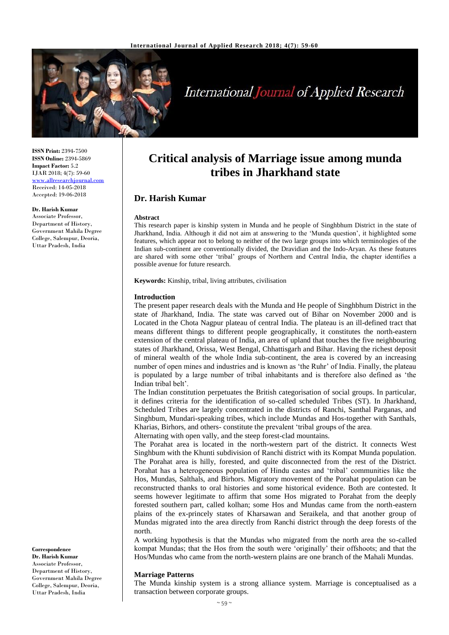

# **International Journal of Applied Research**

**ISSN Print:** 2394-7500 **ISSN Online:** 2394-5869 **Impact Factor:** 5.2 IJAR 2018; 4(7): 59-60 [www.allresearchjournal.com](http://www.allresearchjournal.com/) Received: 14-05-2018 Accepted: 19-06-2018

#### **Dr. Harish Kumar**

Associate Professor, Department of History, Government Mahila Degree College, Salempur, Deoria, Uttar Pradesh, India

**Correspondence Dr. Harish Kumar** Associate Professor, Department of History, Government Mahila Degree College, Salempur, Deoria, Uttar Pradesh, India

# **Critical analysis of Marriage issue among munda tribes in Jharkhand state**

# **Dr. Harish Kumar**

#### **Abstract**

This research paper is kinship system in Munda and he people of Singhbhum District in the state of Jharkhand, India. Although it did not aim at answering to the 'Munda question', it highlighted some features, which appear not to belong to neither of the two large groups into which terminologies of the Indian sub-continent are conventionally divided, the Dravidian and the Indo-Aryan. As these features are shared with some other 'tribal' groups of Northern and Central India, the chapter identifies a possible avenue for future research.

**Keywords:** Kinship, tribal, living attributes, civilisation

#### **Introduction**

The present paper research deals with the Munda and He people of Singhbhum District in the state of Jharkhand, India. The state was carved out of Bihar on November 2000 and is Located in the Chota Nagpur plateau of central India. The plateau is an ill-defined tract that means different things to different people geographically, it constitutes the north-eastern extension of the central plateau of India, an area of upland that touches the five neighbouring states of Jharkhand, Orissa, West Bengal, Chhattisgarh and Bihar. Having the richest deposit of mineral wealth of the whole India sub-continent, the area is covered by an increasing number of open mines and industries and is known as 'the Ruhr' of India. Finally, the plateau is populated by a large number of tribal inhabitants and is therefore also defined as 'the Indian tribal belt'.

The Indian constitution perpetuates the British categorisation of social groups. In particular, it defines criteria for the identification of so-called scheduled Tribes (ST). In Jharkhand, Scheduled Tribes are largely concentrated in the districts of Ranchi, Santhal Parganas, and Singhbum, Mundari-speaking tribes, which include Mundas and Hos-together with Santhals, Kharias, Birhors, and others- constitute the prevalent 'tribal groups of the area.

Alternating with open vally, and the steep forest-clad mountains.

The Porahat area is located in the north-western part of the district. It connects West Singhbum with the Khunti subdivision of Ranchi district with its Kompat Munda population. The Porahat area is hilly, forested, and quite disconnected from the rest of the District. Porahat has a heterogeneous population of Hindu castes and 'tribal' communities like the Hos, Mundas, Salthals, and Birhors. Migratory movement of the Porahat population can be reconstructed thanks to oral histories and some historical evidence. Both are contested. It seems however legitimate to affirm that some Hos migrated to Porahat from the deeply forested southern part, called kolhan; some Hos and Mundas came from the north-eastern plains of the ex-princely states of Kharsawan and Seraikela, and that another group of Mundas migrated into the area directly from Ranchi district through the deep forests of the north.

A working hypothesis is that the Mundas who migrated from the north area the so-called kompat Mundas; that the Hos from the south were 'originally' their offshoots; and that the Hos/Mundas who came from the north-western plains are one branch of the Mahali Mundas.

#### **Marriage Patterns**

The Munda kinship system is a strong alliance system. Marriage is conceptualised as a transaction between corporate groups.